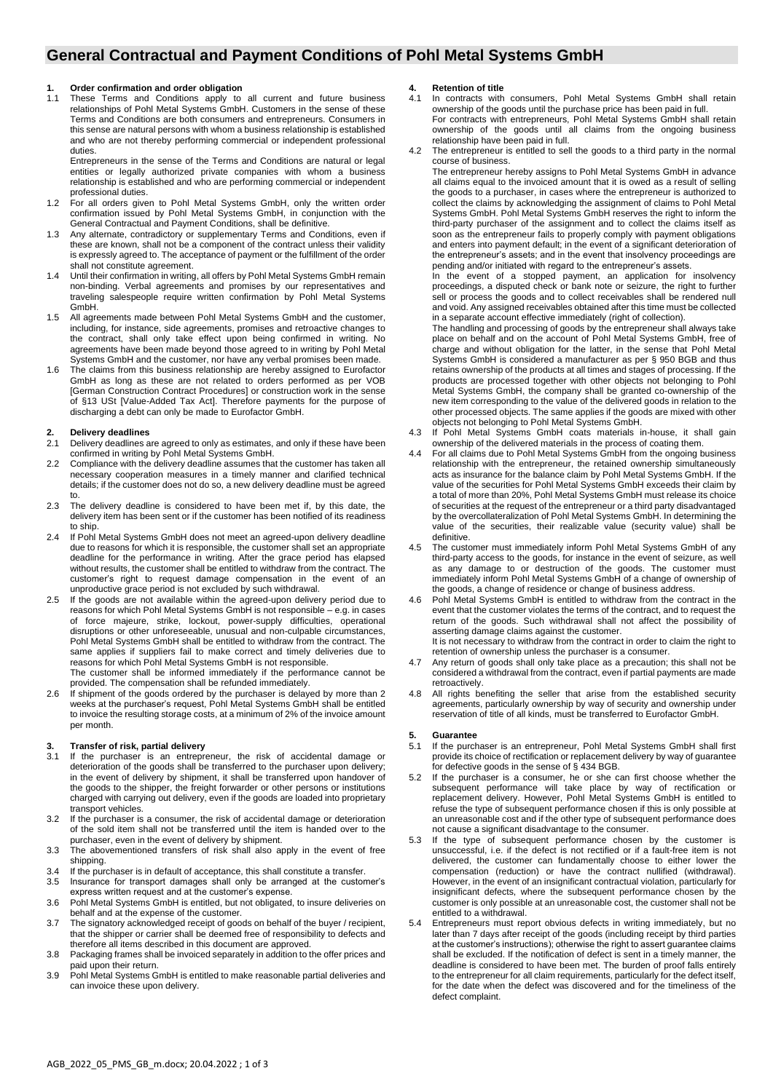### **General Contractual and Payment Conditions of Pohl Metal Systems GmbH**

## **1. Order confirmation and order obligation**

These Terms and Conditions apply to all current and future business relationships of Pohl Metal Systems GmbH. Customers in the sense of these Terms and Conditions are both consumers and entrepreneurs. Consumers in this sense are natural persons with whom a business relationship is established and who are not thereby performing commercial or independent professional duties.

Entrepreneurs in the sense of the Terms and Conditions are natural or legal entities or legally authorized private companies with whom a business relationship is established and who are performing commercial or independent professional duties.

- 1.2 For all orders given to Pohl Metal Systems GmbH, only the written order confirmation issued by Pohl Metal Systems GmbH, in conjunction with the General Contractual and Payment Conditions, shall be definitive.
- 1.3 Any alternate, contradictory or supplementary Terms and Conditions, even if these are known, shall not be a component of the contract unless their validity is expressly agreed to. The acceptance of payment or the fulfillment of the order shall not constitute agreement.
- 1.4 Until their confirmation in writing, all offers by Pohl Metal Systems GmbH remain non-binding. Verbal agreements and promises by our representatives and traveling salespeople require written confirmation by Pohl Metal Systems GmbH.
- 1.5 All agreements made between Pohl Metal Systems GmbH and the customer, including, for instance, side agreements, promises and retroactive changes to the contract, shall only take effect upon being confirmed in writing. No agreements have been made beyond those agreed to in writing by Pohl Metal Systems GmbH and the customer, nor have any verbal promises been made.
- 1.6 The claims from this business relationship are hereby assigned to Eurofactor GmbH as long as these are not related to orders performed as per VOB [German Construction Contract Procedures] or construction work in the sense of §13 USt [Value-Added Tax Act]. Therefore payments for the purpose of discharging a debt can only be made to Eurofactor GmbH.

# **2. Delivery deadlines**

- Delivery deadlines are agreed to only as estimates, and only if these have been confirmed in writing by Pohl Metal Systems GmbH.
- 2.2 Compliance with the delivery deadline assumes that the customer has taken all necessary cooperation measures in a timely manner and clarified technical details; if the customer does not do so, a new delivery deadline must be agreed to.
- 2.3 The delivery deadline is considered to have been met if, by this date, the delivery item has been sent or if the customer has been notified of its readiness to ship.
- 2.4 If Pohl Metal Systems GmbH does not meet an agreed-upon delivery deadline due to reasons for which it is responsible, the customer shall set an appropriate deadline for the performance in writing. After the grace period has elapsed without results, the customer shall be entitled to withdraw from the contract. The customer's right to request damage compensation in the event of an unproductive grace period is not excluded by such withdrawal.
- 2.5 If the goods are not available within the agreed-upon delivery period due to reasons for which Pohl Metal Systems GmbH is not responsible – e.g. in cases of force majeure, strike, lockout, power-supply difficulties, operational disruptions or other unforeseeable, unusual and non-culpable circumstances, Pohl Metal Systems GmbH shall be entitled to withdraw from the contract. The same applies if suppliers fail to make correct and timely deliveries due to reasons for which Pohl Metal Systems GmbH is not responsible. The customer shall be informed immediately if the performance cannot be

provided. The compensation shall be refunded immediately.

2.6 If shipment of the goods ordered by the purchaser is delayed by more than 2 weeks at the purchaser's request, Pohl Metal Systems GmbH shall be entitled to invoice the resulting storage costs, at a minimum of 2% of the invoice amount per month.

# **3. Transfer of risk, partial delivery**

- If the purchaser is an entrepreneur, the risk of accidental damage or deterioration of the goods shall be transferred to the purchaser upon delivery; in the event of delivery by shipment, it shall be transferred upon handover of the goods to the shipper, the freight forwarder or other persons or institutions charged with carrying out delivery, even if the goods are loaded into proprietary transport vehicles.
- 3.2 If the purchaser is a consumer, the risk of accidental damage or deterioration of the sold item shall not be transferred until the item is handed over to the purchaser, even in the event of delivery by shipment.
- 3.3 The abovementioned transfers of risk shall also apply in the event of free shipping.
- 3.4 If the purchaser is in default of acceptance, this shall constitute a transfer.
- 3.5 Insurance for transport damages shall only be arranged at the customer's
- express written request and at the customer's expense. 3.6 Pohl Metal Systems GmbH is entitled, but not obligated, to insure deliveries on behalf and at the expense of the customer.
- 3.7 The signatory acknowledged receipt of goods on behalf of the buyer / recipient, that the shipper or carrier shall be deemed free of responsibility to defects and therefore all items described in this document are approved.
- 3.8 Packaging frames shall be invoiced separately in addition to the offer prices and paid upon their return.
- 3.9 Pohl Metal Systems GmbH is entitled to make reasonable partial deliveries and can invoice these upon delivery.

#### **4. Retention of title**

- 4.1 In contracts with consumers, Pohl Metal Systems GmbH shall retain ownership of the goods until the purchase price has been paid in full. For contracts with entrepreneurs, Pohl Metal Systems GmbH shall retain ownership of the goods until all claims from the ongoing business relationship have been paid in full.
- The entrepreneur is entitled to sell the goods to a third party in the normal course of business.
	- The entrepreneur hereby assigns to Pohl Metal Systems GmbH in advance all claims equal to the invoiced amount that it is owed as a result of selling the goods to a purchaser, in cases where the entrepreneur is authorized to collect the claims by acknowledging the assignment of claims to Pohl Metal Systems GmbH. Pohl Metal Systems GmbH reserves the right to inform the third-party purchaser of the assignment and to collect the claims itself as soon as the entrepreneur fails to properly comply with payment obligations and enters into payment default; in the event of a significant deterioration of the entrepreneur's assets; and in the event that insolvency proceedings are pending and/or initiated with regard to the entrepreneur's assets.

In the event of a stopped payment, an application for insolvency proceedings, a disputed check or bank note or seizure, the right to further sell or process the goods and to collect receivables shall be rendered null and void. Any assigned receivables obtained after this time must be collected in a separate account effective immediately (right of collection).

The handling and processing of goods by the entrepreneur shall always take place on behalf and on the account of Pohl Metal Systems GmbH, free of charge and without obligation for the latter, in the sense that Pohl Metal Systems GmbH is considered a manufacturer as per § 950 BGB and thus retains ownership of the products at all times and stages of processing. If the products are processed together with other objects not belonging to Pohl Metal Systems GmbH, the company shall be granted co-ownership of the new item corresponding to the value of the delivered goods in relation to the other processed objects. The same applies if the goods are mixed with other objects not belonging to Pohl Metal Systems GmbH.

- 4.3 If Pohl Metal Systems GmbH coats materials in-house, it shall gain ownership of the delivered materials in the process of coating them.
- 4.4 For all claims due to Pohl Metal Systems GmbH from the ongoing business relationship with the entrepreneur, the retained ownership simultaneously acts as insurance for the balance claim by Pohl Metal Systems GmbH. If the value of the securities for Pohl Metal Systems GmbH exceeds their claim by a total of more than 20%, Pohl Metal Systems GmbH must release its choice of securities at the request of the entrepreneur or a third party disadvantaged by the overcollateralization of Pohl Metal Systems GmbH. In determining the value of the securities, their realizable value (security value) shall be definitive.
- 4.5 The customer must immediately inform Pohl Metal Systems GmbH of any third-party access to the goods, for instance in the event of seizure, as well as any damage to or destruction of the goods. The customer must immediately inform Pohl Metal Systems GmbH of a change of ownership of the goods, a change of residence or change of business address.
- Pohl Metal Systems GmbH is entitled to withdraw from the contract in the event that the customer violates the terms of the contract, and to request the return of the goods. Such withdrawal shall not affect the possibility of asserting damage claims against the customer. It is not necessary to withdraw from the contract in order to claim the right to retention of ownership unless the purchaser is a consumer.
- Any return of goods shall only take place as a precaution; this shall not be considered a withdrawal from the contract, even if partial payments are made retroactively.
- 4.8 All rights benefiting the seller that arise from the established security agreements, particularly ownership by way of security and ownership under reservation of title of all kinds, must be transferred to Eurofactor GmbH.

## **5. Guarantee**

- If the purchaser is an entrepreneur, Pohl Metal Systems GmbH shall first provide its choice of rectification or replacement delivery by way of guarantee for defective goods in the sense of § 434 BGB.
- 5.2 If the purchaser is a consumer, he or she can first choose whether the subsequent performance will take place by way of rectification or replacement delivery. However, Pohl Metal Systems GmbH is entitled to refuse the type of subsequent performance chosen if this is only possible at an unreasonable cost and if the other type of subsequent performance does not cause a significant disadvantage to the consumer.
- 5.3 If the type of subsequent performance chosen by the customer is unsuccessful, i.e. if the defect is not rectified or if a fault-free item is not delivered, the customer can fundamentally choose to either lower the compensation (reduction) or have the contract nullified (withdrawal). However, in the event of an insignificant contractual violation, particularly for insignificant defects, where the subsequent performance chosen by the customer is only possible at an unreasonable cost, the customer shall not be entitled to a withdrawal.
- Entrepreneurs must report obvious defects in writing immediately, but no later than 7 days after receipt of the goods (including receipt by third parties at the customer's instructions); otherwise the right to assert guarantee claims shall be excluded. If the notification of defect is sent in a timely manner, the deadline is considered to have been met. The burden of proof falls entirely to the entrepreneur for all claim requirements, particularly for the defect itself, for the date when the defect was discovered and for the timeliness of the defect complaint.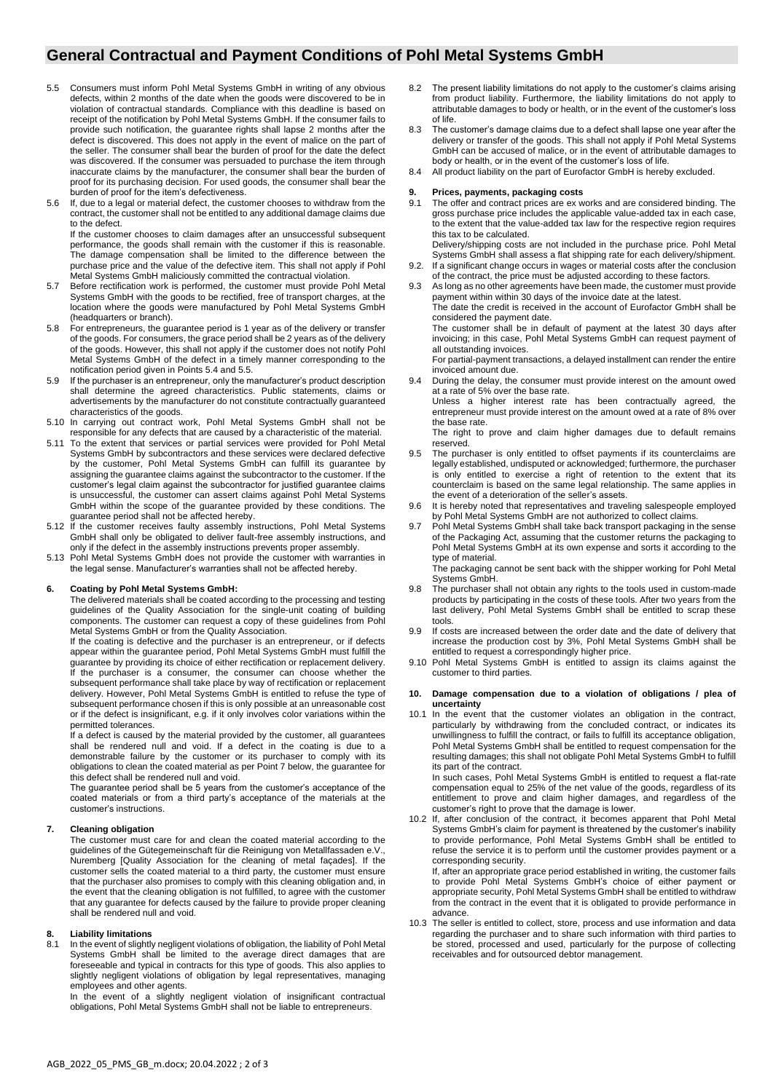### **General Contractual and Payment Conditions of Pohl Metal Systems GmbH**

- 5.5 Consumers must inform Pohl Metal Systems GmbH in writing of any obvious defects, within 2 months of the date when the goods were discovered to be in violation of contractual standards. Compliance with this deadline is based on receipt of the notification by Pohl Metal Systems GmbH. If the consumer fails to provide such notification, the guarantee rights shall lapse 2 months after the defect is discovered. This does not apply in the event of malice on the part of the seller. The consumer shall bear the burden of proof for the date the defect was discovered. If the consumer was persuaded to purchase the item through inaccurate claims by the manufacturer, the consumer shall bear the burden of proof for its purchasing decision. For used goods, the consumer shall bear the burden of proof for the item's defectiveness.
- 5.6 If, due to a legal or material defect, the customer chooses to withdraw from the contract, the customer shall not be entitled to any additional damage claims due to the defect.

If the customer chooses to claim damages after an unsuccessful subsequent performance, the goods shall remain with the customer if this is reasonable. The damage compensation shall be limited to the difference between the purchase price and the value of the defective item. This shall not apply if Pohl Metal Systems GmbH maliciously committed the contractual violation.

- 5.7 Before rectification work is performed, the customer must provide Pohl Metal Systems GmbH with the goods to be rectified, free of transport charges, at the location where the goods were manufactured by Pohl Metal Systems GmbH (headquarters or branch).
- 5.8 For entrepreneurs, the guarantee period is 1 year as of the delivery or transfer of the goods. For consumers, the grace period shall be 2 years as of the delivery of the goods. However, this shall not apply if the customer does not notify Pohl Metal Systems GmbH of the defect in a timely manner corresponding to the notification period given in Points 5.4 and 5.5.
- 5.9 If the purchaser is an entrepreneur, only the manufacturer's product description shall determine the agreed characteristics. Public statements, claims or advertisements by the manufacturer do not constitute contractually guaranteed characteristics of the goods.
- 5.10 In carrying out contract work, Pohl Metal Systems GmbH shall not be responsible for any defects that are caused by a characteristic of the material.
- 5.11 To the extent that services or partial services were provided for Pohl Metal Systems GmbH by subcontractors and these services were declared defective by the customer, Pohl Metal Systems GmbH can fulfill its guarantee by assigning the guarantee claims against the subcontractor to the customer. If the customer's legal claim against the subcontractor for justified guarantee claims is unsuccessful, the customer can assert claims against Pohl Metal Systems GmbH within the scope of the guarantee provided by these conditions. The guarantee period shall not be affected hereby.
- 5.12 If the customer receives faulty assembly instructions, Pohl Metal Systems GmbH shall only be obligated to deliver fault-free assembly instructions, and only if the defect in the assembly instructions prevents proper assembly.
- 5.13 Pohl Metal Systems GmbH does not provide the customer with warranties in the legal sense. Manufacturer's warranties shall not be affected hereby.

### **6. Coating by Pohl Metal Systems GmbH:**

The delivered materials shall be coated according to the processing and testing guidelines of the Quality Association for the single-unit coating of building components. The customer can request a copy of these guidelines from Pohl Metal Systems GmbH or from the Quality Association.

If the coating is defective and the purchaser is an entrepreneur, or if defects appear within the guarantee period, Pohl Metal Systems GmbH must fulfill the guarantee by providing its choice of either rectification or replacement delivery. If the purchaser is a consumer, the consumer can choose whether the subsequent performance shall take place by way of rectification or replacement delivery. However, Pohl Metal Systems GmbH is entitled to refuse the type of subsequent performance chosen if this is only possible at an unreasonable cost or if the defect is insignificant, e.g. if it only involves color variations within the permitted tolerances.

If a defect is caused by the material provided by the customer, all guarantees shall be rendered null and void. If a defect in the coating is due to a demonstrable failure by the customer or its purchaser to comply with its obligations to clean the coated material as per Point 7 below, the guarantee for this defect shall be rendered null and void.

The guarantee period shall be 5 years from the customer's acceptance of the coated materials or from a third party's acceptance of the materials at the customer's instructions.

#### **7. Cleaning obligation**

The customer must care for and clean the coated material according to the guidelines of the Gütegemeinschaft für die Reinigung von Metallfassaden e.V., Nuremberg [Quality Association for the cleaning of metal façades]. If the customer sells the coated material to a third party, the customer must ensure that the purchaser also promises to comply with this cleaning obligation and, in the event that the cleaning obligation is not fulfilled, to agree with the customer that any guarantee for defects caused by the failure to provide proper cleaning shall be rendered null and void.

### **8. Liability limitations**

In the event of slightly negligent violations of obligation, the liability of Pohl Metal Systems GmbH shall be limited to the average direct damages that are foreseeable and typical in contracts for this type of goods. This also applies to slightly negligent violations of obligation by legal representatives, managing employees and other agents.

In the event of a slightly negligent violation of insignificant contractual obligations, Pohl Metal Systems GmbH shall not be liable to entrepreneurs.

- 8.2 The present liability limitations do not apply to the customer's claims arising from product liability. Furthermore, the liability limitations do not apply to attributable damages to body or health, or in the event of the customer's loss of life.
- 8.3 The customer's damage claims due to a defect shall lapse one year after the delivery or transfer of the goods. This shall not apply if Pohl Metal Systems GmbH can be accused of malice, or in the event of attributable damages to body or health, or in the event of the customer's loss of life.
- 8.4 All product liability on the part of Eurofactor GmbH is hereby excluded.

## **9. Prices, payments, packaging costs**

- The offer and contract prices are ex works and are considered binding. The gross purchase price includes the applicable value-added tax in each case, to the extent that the value-added tax law for the respective region requires this tax to be calculated.
- Delivery/shipping costs are not included in the purchase price. Pohl Metal Systems GmbH shall assess a flat shipping rate for each delivery/shipment. 9.2. If a significant change occurs in wages or material costs after the conclusion
- of the contract, the price must be adjusted according to these factors.

9.3 As long as no other agreements have been made, the customer must provide payment within within 30 days of the invoice date at the latest. The date the credit is received in the account of Eurofactor GmbH shall be considered the payment date.

The customer shall be in default of payment at the latest 30 days after invoicing; in this case, Pohl Metal Systems GmbH can request payment of all outstanding invoices.

For partial-payment transactions, a delayed installment can render the entire invoiced amount due.

9.4 During the delay, the consumer must provide interest on the amount owed at a rate of 5% over the base rate.

Unless a higher interest rate has been contractually agreed, the entrepreneur must provide interest on the amount owed at a rate of 8% over the base rate.

The right to prove and claim higher damages due to default remains reserved.

- 9.5 The purchaser is only entitled to offset payments if its counterclaims are legally established, undisputed or acknowledged; furthermore, the purchaser is only entitled to exercise a right of retention to the extent that its counterclaim is based on the same legal relationship. The same applies in the event of a deterioration of the seller's assets.
- 9.6 It is hereby noted that representatives and traveling salespeople employed by Pohl Metal Systems GmbH are not authorized to collect claims.
- 9.7 Pohl Metal Systems GmbH shall take back transport packaging in the sense of the Packaging Act, assuming that the customer returns the packaging to Pohl Metal Systems GmbH at its own expense and sorts it according to the type of material.

The packaging cannot be sent back with the shipper working for Pohl Metal Systems GmbH.

- The purchaser shall not obtain any rights to the tools used in custom-made products by participating in the costs of these tools. After two years from the last delivery, Pohl Metal Systems GmbH shall be entitled to scrap these tools.
- 9.9 If costs are increased between the order date and the date of delivery that increase the production cost by 3%, Pohl Metal Systems GmbH shall be entitled to request a correspondingly higher price.
- 9.10 Pohl Metal Systems GmbH is entitled to assign its claims against the customer to third parties.

#### **10. Damage compensation due to a violation of obligations / plea of uncertainty**

10.1 In the event that the customer violates an obligation in the contract, particularly by withdrawing from the concluded contract, or indicates its unwillingness to fulfill the contract, or fails to fulfill its acceptance obligation, Pohl Metal Systems GmbH shall be entitled to request compensation for the resulting damages; this shall not obligate Pohl Metal Systems GmbH to fulfill its part of the contract.

In such cases, Pohl Metal Systems GmbH is entitled to request a flat-rate compensation equal to 25% of the net value of the goods, regardless of its entitlement to prove and claim higher damages, and regardless of the customer's right to prove that the damage is lower.

10.2 If, after conclusion of the contract, it becomes apparent that Pohl Metal Systems GmbH's claim for payment is threatened by the customer's inability to provide performance, Pohl Metal Systems GmbH shall be entitled to refuse the service it is to perform until the customer provides payment or a corresponding security.

If, after an appropriate grace period established in writing, the customer fails to provide Pohl Metal Systems GmbH's choice of either payment or appropriate security, Pohl Metal Systems GmbH shall be entitled to withdraw from the contract in the event that it is obligated to provide performance in advance.

10.3 The seller is entitled to collect, store, process and use information and data regarding the purchaser and to share such information with third parties to be stored, processed and used, particularly for the purpose of collecting receivables and for outsourced debtor management.